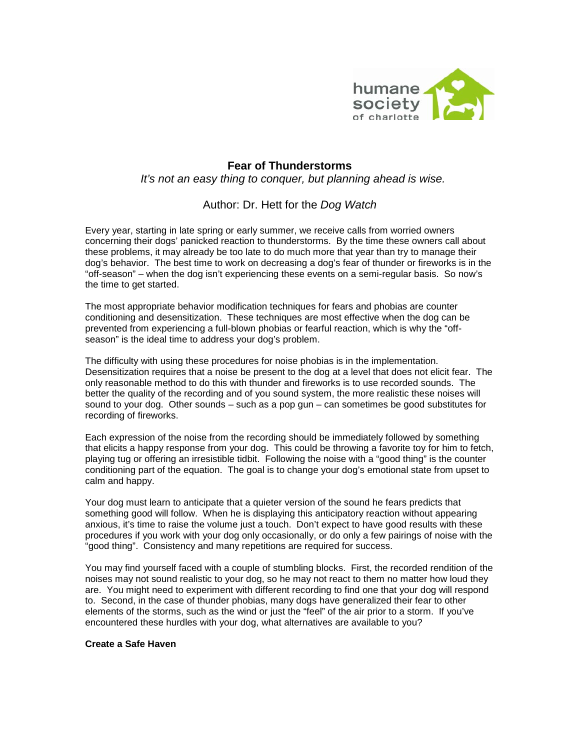

## **Fear of Thunderstorms** *It's not an easy thing to conquer, but planning ahead is wise.*

## Author: Dr. Hett for the *Dog Watch*

Every year, starting in late spring or early summer, we receive calls from worried owners concerning their dogs' panicked reaction to thunderstorms. By the time these owners call about these problems, it may already be too late to do much more that year than try to manage their dog's behavior. The best time to work on decreasing a dog's fear of thunder or fireworks is in the "off-season" – when the dog isn't experiencing these events on a semi-regular basis. So now's the time to get started.

The most appropriate behavior modification techniques for fears and phobias are counter conditioning and desensitization. These techniques are most effective when the dog can be prevented from experiencing a full-blown phobias or fearful reaction, which is why the "offseason" is the ideal time to address your dog's problem.

The difficulty with using these procedures for noise phobias is in the implementation. Desensitization requires that a noise be present to the dog at a level that does not elicit fear. The only reasonable method to do this with thunder and fireworks is to use recorded sounds. The better the quality of the recording and of you sound system, the more realistic these noises will sound to your dog. Other sounds – such as a pop gun – can sometimes be good substitutes for recording of fireworks.

Each expression of the noise from the recording should be immediately followed by something that elicits a happy response from your dog. This could be throwing a favorite toy for him to fetch, playing tug or offering an irresistible tidbit. Following the noise with a "good thing" is the counter conditioning part of the equation. The goal is to change your dog's emotional state from upset to calm and happy.

Your dog must learn to anticipate that a quieter version of the sound he fears predicts that something good will follow. When he is displaying this anticipatory reaction without appearing anxious, it's time to raise the volume just a touch. Don't expect to have good results with these procedures if you work with your dog only occasionally, or do only a few pairings of noise with the "good thing". Consistency and many repetitions are required for success.

You may find yourself faced with a couple of stumbling blocks. First, the recorded rendition of the noises may not sound realistic to your dog, so he may not react to them no matter how loud they are. You might need to experiment with different recording to find one that your dog will respond to. Second, in the case of thunder phobias, many dogs have generalized their fear to other elements of the storms, such as the wind or just the "feel" of the air prior to a storm. If you've encountered these hurdles with your dog, what alternatives are available to you?

## **Create a Safe Haven**